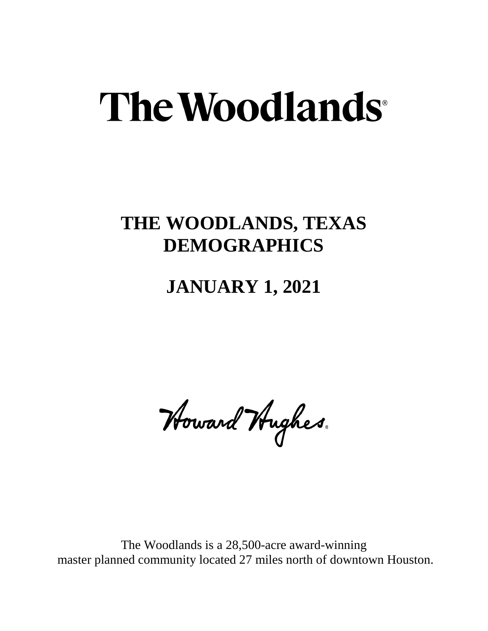## The Woodlands<sup>®</sup>

### **THE WOODLANDS, TEXAS DEMOGRAPHICS**

#### **JANUARY 1, 2021**

Howard Hughes.

The Woodlands is a 28,500-acre award-winning master planned community located 27 miles north of downtown Houston.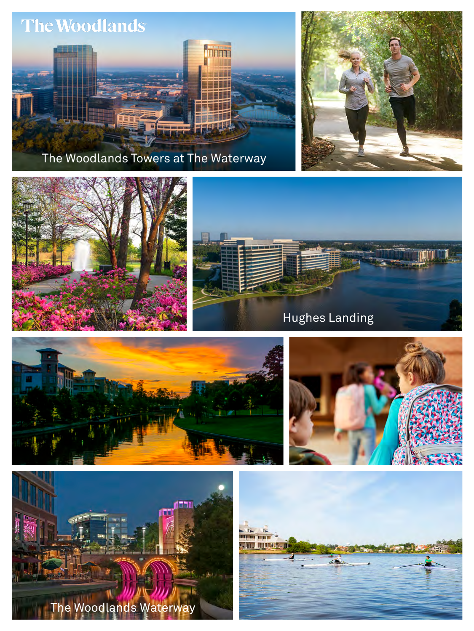

The Woodlands Towers at The Waterway













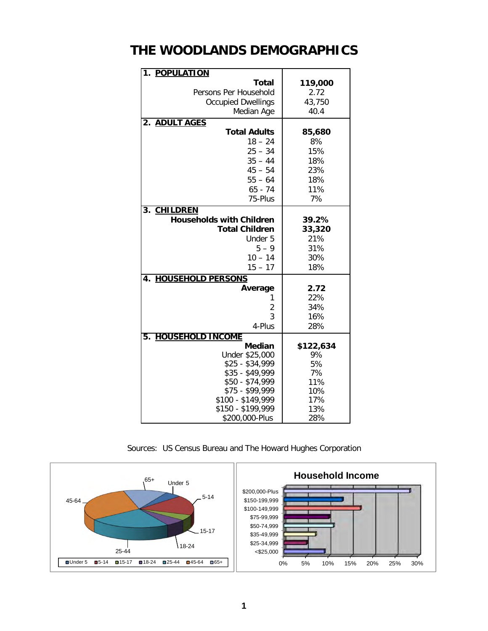#### **THE WOODLANDS DEMOGRAPHICS**

| 1. POPULATION                      |            |
|------------------------------------|------------|
| <b>Total</b>                       | 119,000    |
| Persons Per Household              | 2.72       |
| <b>Occupied Dwellings</b>          | 43,750     |
| Median Age                         | 40.4       |
| <b>ADULT AGES</b><br>2.            |            |
| <b>Total Adults</b>                | 85,680     |
| $18 - 24$                          | 8%         |
| $25 - 34$                          | 15%        |
| $35 - 44$                          | 18%        |
| $45 - 54$                          | 23%        |
| $55 - 64$                          | 18%        |
| $65 - 74$                          | 11%        |
| 75-Plus                            | 7%         |
| <b>CHILDREN</b><br>3.              |            |
| <b>Households with Children</b>    | 39.2%      |
| <b>Total Children</b>              | 33,320     |
| Under 5                            | 21%        |
| $5 - 9$                            | 31%        |
| $10 - 14$                          | 30%        |
| $15 - 17$                          | 18%        |
| <b>HOUSEHOLD PERSONS</b><br>4.     |            |
| Average                            | 2.72       |
| 1                                  | 22%        |
| $\overline{2}$                     | 34%        |
| 3                                  | 16%        |
| 4-Plus                             | 28%        |
| <b>HOUSEHOLD INCOME</b><br>5.      |            |
| <b>Median</b>                      | \$122,634  |
| Under \$25,000                     | 9%         |
| $$25 - $34,999$                    | 5%         |
| $$35 - $49,999$                    | 7%         |
| \$50 - \$74,999<br>$$75 - $99,999$ | 11%<br>10% |
| $$100 - $149,999$                  | 17%        |
| \$150 - \$199,999                  | 13%        |
| \$200,000-Plus                     | 28%        |

Sources: US Census Bureau and The Howard Hughes Corporation

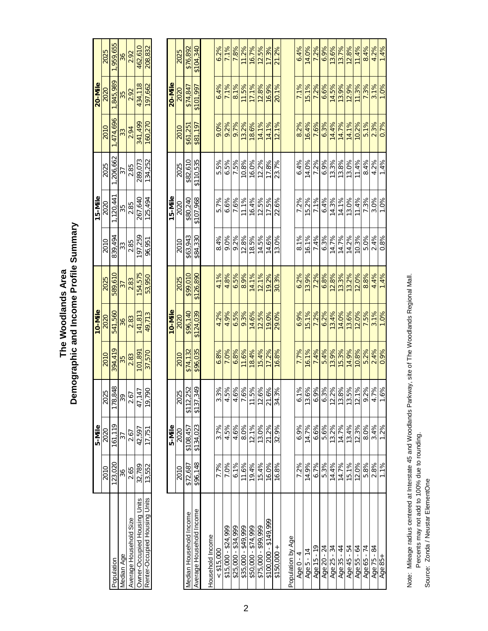| 36         | 2.92                   | 462,610                      | 208,832                       |                | 2025 | \$76,892                | \$104,340                |                  | 6.2%       | 7.1%                | 7.8%                | 11.2%                                                                                                                                                                                                                                                                                                                                                                 | 16.7%               | 12.5%               | 17.3%                 | 21.2%        |                   | 6.4%                   | 14.0%        | 7.2%        | 6.9%        | 13.6%       | 13.7%                                       | 12.8%       | 11.4%        | 8.4%          | 4.2%         | 1.4%    |
|------------|------------------------|------------------------------|-------------------------------|----------------|------|-------------------------|--------------------------|------------------|------------|---------------------|---------------------|-----------------------------------------------------------------------------------------------------------------------------------------------------------------------------------------------------------------------------------------------------------------------------------------------------------------------------------------------------------------------|---------------------|---------------------|-----------------------|--------------|-------------------|------------------------|--------------|-------------|-------------|-------------|---------------------------------------------|-------------|--------------|---------------|--------------|---------|
| 35         | 2.92                   | 434,118                      | 197,662                       | 20-Mile        | 2020 | \$74,847                | \$101,997                |                  | 6.4%       | 7.1%                | 8.1%                | 11.5%                                                                                                                                                                                                                                                                                                                                                                 | 17.1%               | 12.8%               | 16.9%                 | 20.1%        |                   | 7.1%                   | 15.1%        | 7.2%        | 6.6%        | 14.5%       | 13.9%                                       | 12.9%       | 11.3%        | 7.3%          | 3.1%         | 1.0%    |
| 33         | 2.94                   | 341,499                      | 160,270                       |                | 2010 | \$61,251                | \$81,197                 |                  | 9.0%       | 9.2%                | 9.7%                | 13.2%                                                                                                                                                                                                                                                                                                                                                                 | 18.6%               | 14.1%               | 14.1%                 | 12.1%        |                   | 8.2%                   | 16.4%        | 7.6%        | 6.3%        | 14.4%       | 14.7%                                       | 14.1%       | 10.2%        | 5.1%          | 2.3%         | 0.7%    |
| 37         | 2.85                   | 289,073                      | 134,252                       |                | 2025 | \$82,610                | \$110,535                |                  | 5.5%       | 6.5%                | 7.5%                | 10.8%                                                                                                                                                                                                                                                                                                                                                                 | 16.0%               | 12.2%               | 17.8%                 | 23.7%        |                   | 6.4%                   | 14.0%        | 7.2%        | 6.9%        | 13.3%       | 13.8%                                       | 13.0%       | 11.4%        | 8.4%          | 4.2%         | 1.4%    |
| 35         | 2.85                   | 267,640                      | 125,494                       | 15-Mile        | 2020 | \$80,240                | \$107,968                |                  | 5.7%       | 6.6%                | 7.6%                | 11.1%                                                                                                                                                                                                                                                                                                                                                                 | 16.4%               | 12.5%               | 17.5%                 | 22.6%        |                   | 7.2%                   | 15.2%        | 7.1%        | 6.4%        | 14.3%       | 14.1%                                       | 13.0%       | 11.4%        | 7.3%          | 3.0%         | 1.0%    |
| 33         | 2.85                   | 97,259                       | 96,951                        |                | 2010 | \$63,943                | \$84,330                 |                  | 8.4%       | 9.0%                | 9.2%                | 12.8%                                                                                                                                                                                                                                                                                                                                                                 | 18.5%               | 14.5%               | 14.6%                 | 13.0%        |                   | 8.1%                   | 16.1%        | 7.4%        | 6.3%        | 14.7%       | 14.7%                                       | 14.2%       | 10.3%        | 5.0%          | 2.4%         | 0.8%    |
| 37         | 2.83                   | 54,575                       | 53,950                        |                | 2025 | \$99,010                | \$126,890                |                  | 4.1%       | 4.8%                | 6.5%                | 8.9%                                                                                                                                                                                                                                                                                                                                                                  | 14.1%               | 12.1%               | 19.2%                 | 30.3%        |                   | 6.2%                   | 13.9%        | 7.2%        | 6.8%        | 12.8%       | 13.3%                                       | 13.2%       | 12.0%        | 8.8%          | 4.4%         | 1.4%    |
| 36         | 2.83                   | 41,813                       | 49,713                        | <b>IO-Mile</b> | 2020 | \$96,140                | \$124,039                |                  | 4.2%       | 4.9%                | 6.5%                | 9.3%                                                                                                                                                                                                                                                                                                                                                                  | 14.6%               | 12.5%               | 19.0%                 | 29.0%        |                   | 6.9%                   | 15.1%        | 7.2%        | 6.2%        | 13.4%       | 14.0%                                       | 13.6%       | 12.0%        | 7.5%          | 3.1%         | 1.0%    |
| 35         | 2.83                   | 01,89                        | 37,570                        |                | 2010 | \$74,132                | \$96,035                 |                  | 6.8%       | 7.0%                | 6.8%                | 11.6%                                                                                                                                                                                                                                                                                                                                                                 | 18.4%               | 15.4%               | 17.2%                 | 16.8%        |                   | 7.7%                   | 16.1%        | 7.4%        | 5.4%        | 13.9%       | 15.3%                                       | 14.9%       | 10.8%        | 5.2%          | 2.4%         | 0.9%    |
| 39         | 2.67                   | 47,147                       | 19,790                        |                | 2025 | \$112,252               | \$137,349                |                  |            |                     |                     | $\frac{3.3\%}{4.5\%}\n \times \frac{1.5\%}{1.6\%}\n \times \frac{1.5\%}{1.5\%}\n \times \frac{1.5\%}{1.2\%}\n \times \frac{1.5\%}{1.2\%}\n \times \frac{1.5\%}{1.2\%}\n \times \frac{1.5\%}{1.2\%}\n \times \frac{1.5\%}{1.2\%}\n \times \frac{1.5\%}{1.2\%}\n \times \frac{1.5\%}{1.2\%}\n \times \frac{1.5\%}{1.2\%}\n \times \frac{1.5\%}{1.2\%}\n \times \frac{1$ |                     |                     |                       |              |                   | $\%$<br>$\overline{6}$ |              |             |             |             | $\frac{13.6\%}{6.3\%}\times\frac{1}{2.3\%}$ |             | 12.1         | 12.1%<br>9.2% | 4.7%<br>1.6% |         |
| 37         | 2.67                   | 42,597                       | 17,751                        | 5-Mile         | 2020 | \$108,457               | \$134,023                |                  | 3.7%       | 4.5%                | 4.6%                | 8.0%                                                                                                                                                                                                                                                                                                                                                                  | 12.1%               | 13.0%               | 21.2%                 | 32.9%        |                   | 6.9%                   | 14.7%        | 6.6%        | 5.6%        | 13.2%       | 14.7%                                       | 13.4%       | 12.3%        | 8.0%          | 3.4%         | 1.2%    |
| 36         | 2.65                   | 32,789                       | 13,552                        |                | 2010 | \$72,687                | \$96,148                 |                  | 7.7%       | 7.0%                | 6.1%                | 11.6%                                                                                                                                                                                                                                                                                                                                                                 | 19.4%               | 15.4%               | 16.0%                 | 16.8%        |                   | 7.2%                   | 14.9%        | 6.7%        | 5.3%        | 14.4%       | 14.7%                                       | 15.1%       | 12.0%        | 5.8%          | 2.8%         | 1.1%    |
| Median Age | Average Household Size | Owner-Occupied Housing Units | Renter-Occupied Housing Units |                |      | Median Household Income | Average Household Income | Household Income | < \$15,000 | \$15,000 - \$24,999 | $$25,000 - $34,999$ | \$35,000 - \$49,999                                                                                                                                                                                                                                                                                                                                                   | \$50,000 - \$74,999 | \$75,000 - \$99,999 | \$100,000 - \$149,999 | $$150,000 +$ | Population by Age | 4<br>Age 0 -           | $Age 5 - 14$ | Age 15 - 19 | Age 20 - 24 | Age 25 - 34 | Age 35 - 44                                 | Age 45 - 54 | 49 - 55 - 64 | Age 65 - 74   | Age 75 - 84  | Age 85+ |

# Demographic and Income Profile Summary **Demographic and Income Profile Summary** The Woodlands Area **The Woodlands Area**

15-Mile

Population 123,020 | 161,119 | 178,848 | 394,419 | 541,560 | 589,60 | 589,640 | 589,620 | 1,204,140, 1,20,100, 1,20,445 | 1,359,655<br>Population | 178,845,989 | 178,848 | 394,419 | 541,560 | 589,641,560 | 541,560 | 541,560 | Median Age 1 36 1 37 36 1 36 1 36 36 36 37 38 38 396 396 397 396 396 397 398 396 397 398 398 398 398 398 398 3

394,419 2010

178,848 2025

161,119

123,020 2010

Population

5-Mile 2020

589,610

2025

10-Mile<br>2020<br>541,560

1,959,655 2025

1,845,989

1,474,696

1,206,662 2025

1,120,441 2020

839,494 2010

2020

2010

20-Mile

Note: Mileage radius centered at Interstate 45 and Woodlands Parkway, site of The Woodlands Regional Mall. Note: Mileage radius centered at Interstate 45 and Woodlands Parkway, site of The Woodlands Regional Mall. Percents may not add to 100% due to rounding.

Percents may not add to 100% due to rounding.<br>Source: Zonda / Neustar ElementOne

Source: Zonda / Neustar ElementOne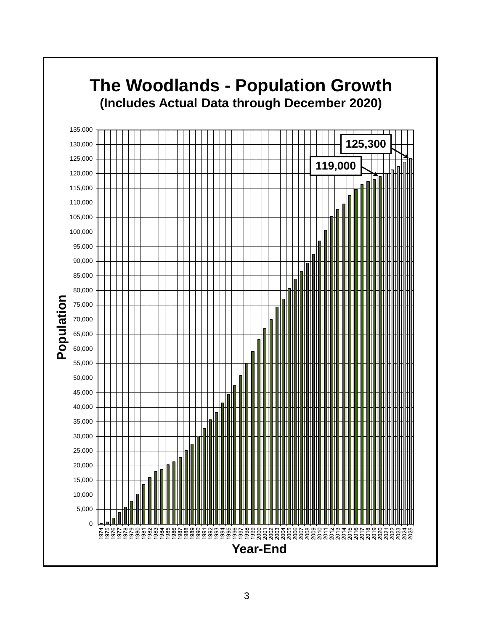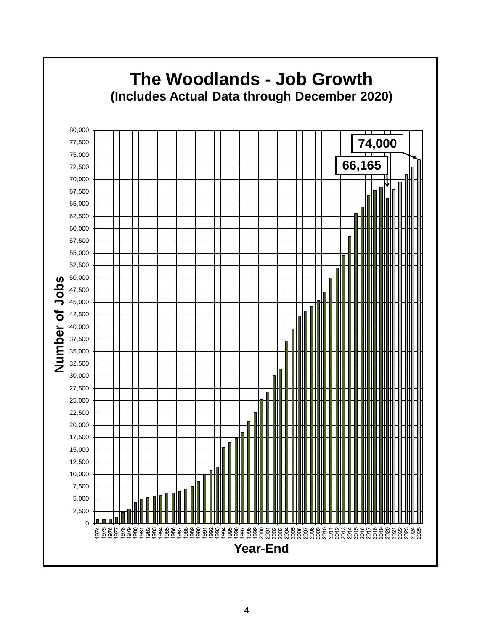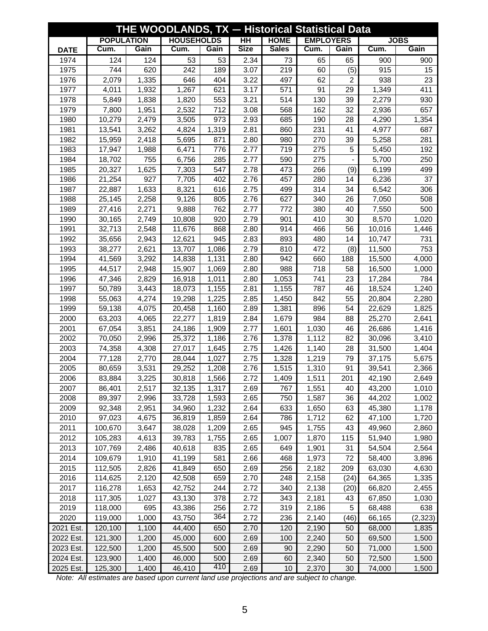| THE WOODLANDS, TX - Historical Statistical Data |                   |       |                   |       |             |              |                  |      |        |             |  |  |
|-------------------------------------------------|-------------------|-------|-------------------|-------|-------------|--------------|------------------|------|--------|-------------|--|--|
|                                                 | <b>POPULATION</b> |       | <b>HOUSEHOLDS</b> |       | <b>HH</b>   | <b>HOME</b>  | <b>EMPLOYERS</b> |      |        | <b>JOBS</b> |  |  |
| <b>DATE</b>                                     | Cum.              | Gain  | Cum.              | Gain  | <b>Size</b> | <b>Sales</b> | Cum.             | Gain | Cum.   | Gain        |  |  |
| 1974                                            | 124               | 124   | 53                | 53    | 2.34        | 73           | 65               | 65   | 900    | 900         |  |  |
| 1975                                            | 744               | 620   | 242               | 189   | 3.07        | 219          | 60               | (5)  | 915    | 15          |  |  |
| 1976                                            | 2,079             | 1,335 | 646               | 404   | 3.22        | 497          | 62               | 2    | 938    | 23          |  |  |
| 1977                                            | 4,011             | 1,932 | 1,267             | 621   | 3.17        | 571          | 91               | 29   | 1,349  | 411         |  |  |
| 1978                                            | 5,849             | 1,838 | 1,820             | 553   | 3.21        | 514          | 130              | 39   | 2,279  | 930         |  |  |
| 1979                                            | 7,800             | 1,951 | 2,532             | 712   | 3.08        | 568          | 162              | 32   | 2,936  | 657         |  |  |
| 1980                                            | 10,279            | 2,479 | 3,505             | 973   | 2.93        | 685          | 190              | 28   | 4,290  | 1,354       |  |  |
| 1981                                            | 13,541            | 3,262 | 4,824             | 1,319 | 2.81        | 860          | 231              | 41   | 4,977  | 687         |  |  |
| 1982                                            | 15,959            | 2,418 | 5,695             | 871   | 2.80        | 980          | 270              | 39   | 5,258  | 281         |  |  |
| 1983                                            | 17,947            | 1,988 | 6,471             | 776   | 2.77        | 719          | 275              | 5    | 5,450  | 192         |  |  |
| 1984                                            | 18,702            | 755   | 6,756             | 285   | 2.77        | 590          | 275              |      | 5,700  | 250         |  |  |
| 1985                                            | 20,327            | 1,625 | 7,303             | 547   | 2.78        | 473          | 266              | (9)  | 6,199  | 499         |  |  |
| 1986                                            | 21,254            | 927   | 7,705             | 402   | 2.76        | 457          | 280              | 14   | 6,236  | 37          |  |  |
| 1987                                            | 22,887            | 1,633 | 8,321             | 616   | 2.75        | 499          | 314              | 34   | 6,542  | 306         |  |  |
| 1988                                            | 25,145            | 2,258 | 9,126             | 805   | 2.76        | 627          | 340              | 26   | 7,050  | 508         |  |  |
| 1989                                            | 27,416            | 2,271 | 9,888             | 762   | 2.77        | 772          | 380              | 40   | 7,550  | 500         |  |  |
| 1990                                            | 30,165            | 2,749 | 10,808            | 920   | 2.79        | 901          | 410              | 30   | 8,570  | 1,020       |  |  |
| 1991                                            | 32,713            | 2,548 | 11,676            | 868   | 2.80        | 914          | 466              | 56   | 10,016 | 1,446       |  |  |
| 1992                                            | 35,656            | 2,943 | 12,621            | 945   | 2.83        | 893          | 480              | 14   | 10,747 | 731         |  |  |
| 1993                                            | 38,277            | 2,621 | 13,707            | 1,086 | 2.79        | 810          | 472              | (8)  | 11,500 | 753         |  |  |
| 1994                                            | 41,569            | 3,292 | 14,838            | 1,131 | 2.80        | 942          | 660              | 188  | 15,500 | 4,000       |  |  |
| 1995                                            | 44,517            | 2,948 | 15,907            | 1,069 | 2.80        | 988          | 718              | 58   | 16,500 | 1,000       |  |  |
| 1996                                            | 47,346            | 2,829 | 16,918            | 1,011 | 2.80        | 1,053        | 741              | 23   | 17,284 | 784         |  |  |
| 1997                                            | 50,789            | 3,443 | 18,073            | 1,155 | 2.81        | 1,155        | 787              | 46   | 18,524 | 1,240       |  |  |
| 1998                                            | 55,063            | 4,274 | 19,298            | 1,225 | 2.85        | 1,450        | 842              | 55   | 20,804 | 2,280       |  |  |
| 1999                                            | 59,138            | 4,075 | 20,458            | 1,160 | 2.89        | 1,381        | 896              | 54   | 22,629 | 1,825       |  |  |
| 2000                                            | 63,203            | 4,065 | 22,277            | 1,819 | 2.84        | 1,679        | 984              | 88   | 25,270 | 2,641       |  |  |
| 2001                                            | 67,054            | 3,851 | 24,186            | 1,909 | 2.77        | 1,601        | 1,030            | 46   | 26,686 | 1,416       |  |  |
| 2002                                            | 70,050            | 2,996 | 25,372            | 1,186 | 2.76        | 1,378        | 1,112            | 82   | 30,096 | 3,410       |  |  |
| 2003                                            | 74,358            | 4,308 | 27,017            | 1,645 | 2.75        | 1,426        | 1,140            | 28   | 31,500 | 1,404       |  |  |
| 2004                                            | 77,128            | 2,770 | 28,044            | 1,027 | 2.75        | 1,328        | 1,219            | 79   | 37,175 | 5,675       |  |  |
| 2005                                            | 80,659            | 3,531 | 29,252            | 1,208 | 2.76        | 1,515        | 1,310            | 91   | 39,541 | 2,366       |  |  |
| 2006                                            | 83,884            | 3,225 | 30,818            | 1,566 | 2.72        | 1,409        | 1,511            | 201  | 42,190 | 2,649       |  |  |
| 2007                                            | 86,401            | 2,517 | 32,135            | 1,317 | 2.69        | 767          | 1,551            | 40   | 43,200 | 1,010       |  |  |
| 2008                                            | 89,397            | 2,996 | 33,728            | 1,593 | 2.65        | 750          | 1,587            | 36   | 44,202 | 1,002       |  |  |
| 2009                                            | 92,348            | 2,951 | 34,960            | 1,232 | 2.64        | 633          | 1,650            | 63   | 45,380 | 1,178       |  |  |
| 2010                                            | 97,023            | 4,675 | 36,819            | 1,859 | 2.64        | 786          | 1,712            | 62   | 47,100 | 1,720       |  |  |
| 2011                                            | 100,670           | 3,647 | 38,028            | 1,209 | 2.65        | 945          | 1,755            | 43   | 49,960 | 2,860       |  |  |
| 2012                                            | 105,283           | 4,613 | 39,783            | 1,755 | 2.65        | 1,007        | 1,870            | 115  | 51,940 | 1,980       |  |  |
| 2013                                            | 107,769           | 2,486 | 40,618            | 835   | 2.65        | 649          | 1,901            | 31   | 54,504 | 2,564       |  |  |
| 2014                                            | 109,679           | 1,910 | 41,199            | 581   | 2.66        | 468          | 1,973            | 72   | 58,400 | 3,896       |  |  |
| 2015                                            | 112,505           | 2,826 | 41,849            | 650   | 2.69        | 256          | 2,182            | 209  | 63,030 | 4,630       |  |  |
| 2016                                            | 114,625           | 2,120 | 42,508            | 659   | 2.70        | 248          | 2,158            | (24) | 64,365 | 1,335       |  |  |
| 2017                                            | 116,278           | 1,653 | 42,752            | 244   | 2.72        | 340          | 2,138            | (20) | 66,820 | 2,455       |  |  |
| 2018                                            | 117,305           | 1,027 | 43,130            | 378   | 2.72        | 343          | 2,181            | 43   | 67,850 | 1,030       |  |  |
| 2019                                            | 118,000           | 695   | 43,386            | 256   | 2.72        | 319          | 2,186            | 5    | 68,488 | 638         |  |  |
| 2020                                            | 119,000           | 1,000 | 43,750            | 364   | 2.72        | 236          | 2,140            | (46) | 66,165 | (2, 323)    |  |  |
| 2021 Est.                                       | 120,100           | 1,100 | 44,400            | 650   | 2.70        | 120          | 2,190            | 50   | 68,000 | 1,835       |  |  |
| 2022 Est.                                       | 121,300           | 1,200 | 45,000            | 600   | 2.69        | 100          | 2,240            | 50   | 69,500 | 1,500       |  |  |
| 2023 Est.                                       | 122,500           | 1,200 | 45,500            | 500   | 2.69        | 90           | 2,290            | 50   | 71,000 | 1,500       |  |  |
| 2024 Est.                                       | 123,900           | 1,400 | 46,000            | 500   | 2.69        | 60           | 2,340            | 50   | 72,500 | 1,500       |  |  |
| 2025 Est.                                       | 125,300           | 1,400 | 46,410            | 410   | 2.69        | 10           | 2,370            | 30   | 74,000 | 1,500       |  |  |

*Note: All estimates are based upon current land use projections and are subject to change.*